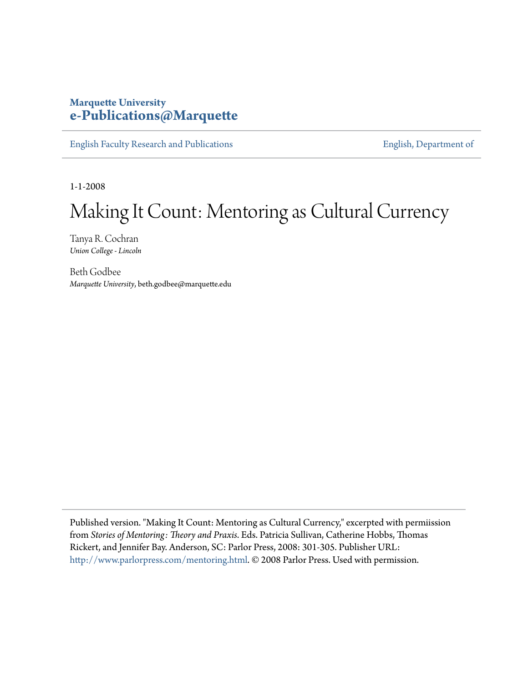## **Marquette University [e-Publications@Marquette](https://epublications.marquette.edu)**

[English Faculty Research and Publications](https://epublications.marquette.edu/english_fac) **[English, Department of](https://epublications.marquette.edu/english)** English, Department of

1-1-2008

## Making It Count: Mentoring as Cultural Currency

Tanya R. Cochran *Union College - Lincoln*

Beth Godbee *Marquette University*, beth.godbee@marquette.edu

Published version. "Making It Count: Mentoring as Cultural Currency," excerpted with permiission from *Stories of Mentoring: Theory and Praxis*. Eds. Patricia Sullivan, Catherine Hobbs, Thomas Rickert, and Jennifer Bay. Anderson, SC: Parlor Press, 2008: 301-305. Publisher URL: <http://www.parlorpress.com/mentoring.html>. © 2008 Parlor Press. Used with permission.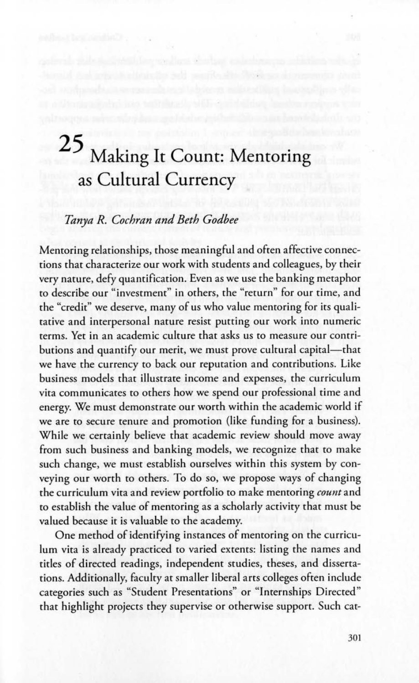# **25 Making It Count: Mentoring as Cultural Currency**

a shoulder

## *Tanya R. Cochran and Beth Godbee*

Mentoring relationships, those meaningful and often affective connections that characterize our work with students and colleagues, by their very nature, defy quantification. Even as we use the banking metaphor to describe our "investment" in others, the "return" for our time, and the "credit" we deserve, many of us who value mentoring for its qualitative and interpersonal nature resist putting our work into numeric terms. Yet in an academic culture that asks us to measure our contributions and quantify our merit, we must prove cultural capital-that we have the currency to back our reputation and contributions. Like business models that illustrate income and expenses, the curriculum vita communicates to others how we spend our professional time and energy. We must demonstrate our worth within the academic world if we are to secure tenure and promotion (like funding for a business). While we certainly believe that academic review should move away from such business and banking models, we recognize that to make such change, we must establish ourselves within this system by conveying our worth to others. To do so, we propose ways of changing the curriculum vita and review portfolio to make mentoring *count* and to establish the value of mentoring as a scholarly activity that must be valued because it is valuable to the academy.

One method of identifying instances of mentoring on the curriculum vita is already practiced to varied extents: listing the names and titles of directed readings, independent studies, theses, and dissertations. Additionally, faculty at smaller liberal arts colleges often include categories such as "Student Presentations" or "Internships Directed" that highlight projects they supervise or otherwise support. Such cat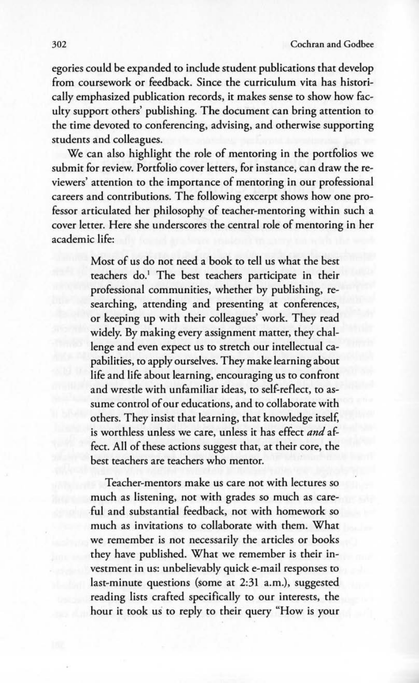egories could be expanded to include student publications that develop from coursework or feedback. Since the curriculum vita has historically emphasized publication records, it makes sense to show how faculty support others' publishing. The document can bring attention to the time devoted to conferencing, advising, and otherwise supporting students and colleagues.

We can also highlight the role of mentoring in the portfolios we submit for review. Portfolio cover letters, for instance, can draw the reviewers' attention to the importance of mentoring in our professional careers and contributions. The following excerpt shows how one professor articulated her philosophy of teacher-mentoring within such a cover letter. Here she underscores the central role of mentoring in her academic life:

> Most of us do not need a book to tell us what the best teachers do.! The best teachers participate in their professional communities, whether by publishing, researching, attending and presenting at conferences, or keeping up with their colleagues' work. They read widely. By making every assignment matter, they challenge and even expect us to stretch our intellectual capabilities, to apply ourselves. They make learning about life and life about learning, encouraging us to confront and wrestle with unfamiliar ideas, to self-reflect, to assume control of our educations, and to collaborate with others. They insist that learning, that knowledge itself, is worthless unless we care, unless it has effect *and* affect. All of these actions suggest that, at their core, the best teachers are teachers who mentor.

> Teacher-mentors make us care not with lectures so much as listening, not with grades so much as careful and substantial feedback, not with homework so much as invitations to collaborate with them. What we remember is not necessarily the articles or books they have published. What we remember is their investment in us: unbelievably quick e-mail responses to last-minute questions (some at 2:31 a.m.), suggested reading lists crafted specifically to our interests, the hour it took us to reply to their query "How is your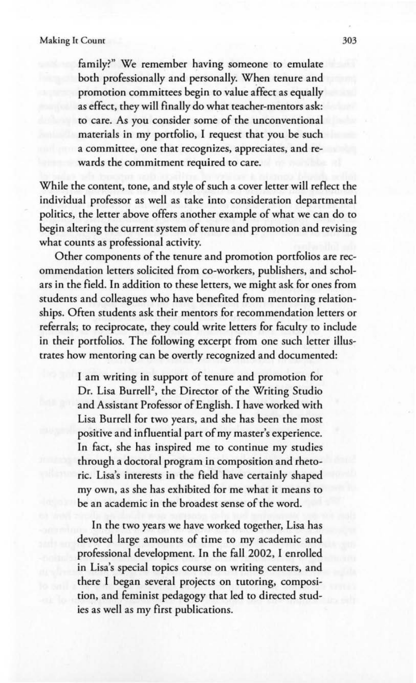#### Making Ir Count

family?" We remember having someone to emulate both professionally and personally. When tenure and promotion committees begin to value affect as equally as effect, they will finally do what teacher-mentors ask: to care. As you consider some of the unconventional materials in my portfolio, I request that you be such a committee, one that recognizes, appreciates, and rewards the commitment required to care.

While the content, tone, and style of such a cover letter will reflect the individual professor as well as take into consideration departmental politics, the letter above offers another example of what we can do to begin altering the current system of tenure and promotion and revising what counts as professional activity.

Other components of the tenure and promotion portfolios are recommendation letters solicited from co-workers, publishers, and scholars in the field. In addition to these letters, we might ask for ones from students and colleagues who have benefited from mentoring relationships. Often students ask their mentors for recommendation letters or referrals; to reciprocate, they could write letters for faculty to include in their portfolios. The following excerpt from one such letter illustrates how mentoring can be overtly recognized and documented:

> I am writing in support of tenure and promotion for Dr. Lisa Burrell<sup>2</sup>, the Director of the Writing Studio and Assistant Professor of English. I have worked with Lisa Burrell for two years, and she has been the most positive and influential part of my master's experience. In fact, she has inspired me to continue my studies through a doctoral program in composition and rhetoric. Lisa's interests in the field have certainly shaped my own, as she has exhibited for me what it means to be an academic in the broadest sense of the word.

> In the two years we have worked together, Lisa has devoted large amounts of time to my academic and professional development. In the fall 2002, I enrolled in Lisa's special topics course on writing centers, and there I began several projects on tutoring, composition, and feminist pedagogy that led to directed studies as well as my first publications.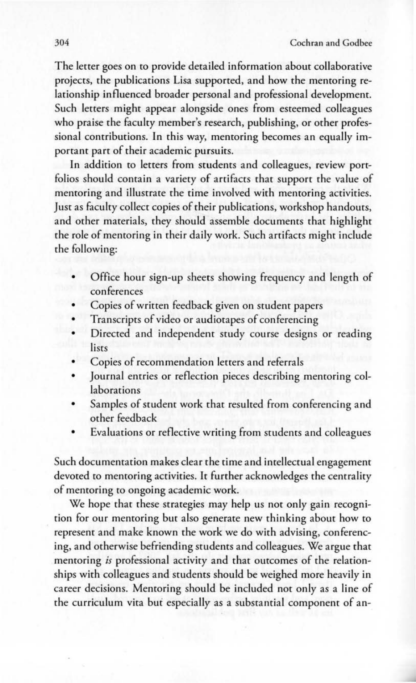The letter goes on to provide detailed information about collaborative projects, the publications Lisa supported, and how the mentoring relationship influenced broader personal and professional development. Such letters might appear alongside ones from esteemed colleagues who praise the faculty member's research, publishing, or other professional contributions. In this way, mentoring becomes an equally important part of their academic pursuits.

In addition to letters from students and colleagues, review portfolios should contain a variety of artifacts that support the value of mentoring and illustrate the time involved with mentoring activities. Just as faculty collect copies of their publications, workshop handouts, and other materials, they should assemble documents that highlight the role of mentoring in their daily work. Such artifacts might include the following:

- Office hour sign-up sheets showing frequency and length of conferences
- Copies of written feedback given on student papers
- Transcripts of video or audiotapes of conferencing
- Directed and independent study course designs or reading lists
- Copies of recommendation letters and referrals
- Journal entries or reflection pieces describing mentoring collaborations
- Samples of student work that resulted from conferencing and other feedback
- Evaluations or reflective writing from students and colleagues

Such documentation makes clear the time and intellectual engagement devoted to mentoring activities. It further acknowledges the centrality of mentoring to ongoing academic work.

We hope that these strategies may help us not only gain recognition for our mentoring but also generate new thinking about how to represent and make known the work we do with advising, conferencing, and otherwise befriending students and colleagues. We argue that mentoring *is* professional activity and that outcomes of the relationships with colleagues and students should be weighed more heavily in career decisions. Mentoring should be included not only as a line of the curriculum vita but especially as a substantial component of an-